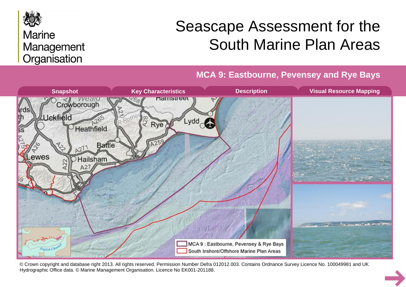

# **Marine** Management Organisation

# Seascape Assessment for the South Marine Plan Areas

**MCA 9: Eastbourne, Pevensey and Rye Bays**



© Crown copyright and database right 2013. All rights reserved. Permission Number Defra 012012.003. Contains Ordnance Survey Licence No. 100049981 and UK Hydrographic Office data. © Marine Management Organisation. Licence No EK001-201188.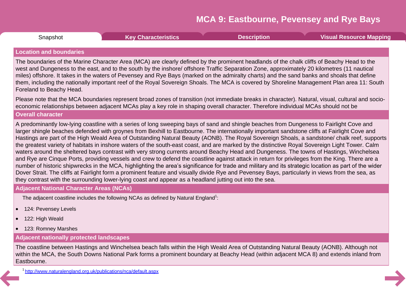<span id="page-1-0"></span>

| Snapshot | <b>Key Characteristics</b> | <b>Description</b> | <b>Visual Resource Mapping</b> |
|----------|----------------------------|--------------------|--------------------------------|
|          |                            |                    |                                |

#### **Location and boundaries**

The boundaries of the Marine Character Area (MCA) are clearly defined by the prominent headlands of the chalk cliffs of Beachy Head to the west and Dungeness to the east, and to the south by the inshore/ offshore Traffic Separation Zone, approximately 20 kilometres (11 nautical miles) offshore. It takes in the waters of Pevensey and Rye Bays (marked on the admiralty charts) and the sand banks and shoals that define them, including the nationally important reef of the Royal Sovereign Shoals. The MCA is covered by Shoreline Management Plan area 11: South Foreland to Beachy Head.

Please note that the MCA boundaries represent broad zones of transition (not immediate breaks in character). Natural, visual, cultural and socio economic relationships between adjacent MCAs play a key role in shaping overall character. Therefore individual MCAs should not be

#### **Overall character**

A predominantly low-lying coastline with a series of long sweeping bays of sand and shingle beaches from Dungeness to Fairlight Cove and larger shingle beaches defended with groynes from Bexhill to Eastbourne. The internationally important sandstone cliffs at Fairlight Cove and Hastings are part of the High Weald Area of Outstanding Natural Beauty (AONB). The Royal Sovereign Shoals, a sandstone/ chalk reef, supports the greatest variety of habitats in inshore waters of the south-east coast, and are marked by the distinctive Royal Sovereign Light Tower. Calm waters around the sheltered bays contrast with very strong currents around Beachy Head and Dungeness. The towns of Hastings, Winchelsea and Rye are Cinque Ports, providing vessels and crew to defend the coastline against attack in return for privileges from the King. There are a number of historic shipwrecks in the MCA, highlighting the area's significance for trade and military and its strategic location as part of the wider Dover Strait. The cliffs at Fairlight form a prominent feature and visually divide Rye and Pevensey Bays, particularly in views from the sea, as they contrast with the surrounding lower-lying coast and appear as a headland jutting out into the sea.

#### **Adjacent National Character Areas (NCAs)**

The adjacent coastline includes the following NCAs as defined by Natural England<sup>1</sup>:

- 124: Pevensey Levels
- 122: High Weald
- · 123: Romney Marshes

#### **Adjacent nationally protected landscapes**

The coastline between Hastings and Winchelsea beach falls within the High Weald Area of Outstanding Natural Beauty (AONB). Although not within the MCA, the South Downs National Park forms a prominent boundary at Beachy Head (within adjacent MCA 8) and extends inland from Eastbourne.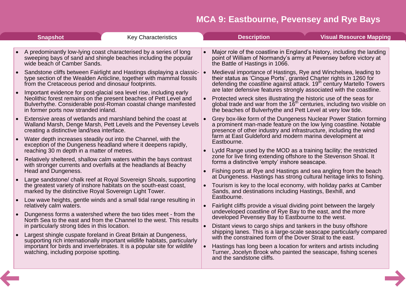<span id="page-2-0"></span>

| <b>Snapshot</b>                                        | <b>Key Characteristics</b>                                                                                                                                                                                               | <b>Description</b><br><b>Visual Resource Mapping</b>                                                                                                                                                                                                                                                     |
|--------------------------------------------------------|--------------------------------------------------------------------------------------------------------------------------------------------------------------------------------------------------------------------------|----------------------------------------------------------------------------------------------------------------------------------------------------------------------------------------------------------------------------------------------------------------------------------------------------------|
| wide beach of Camber Sands.                            | A predominantly low-lying coast characterised by a series of long<br>sweeping bays of sand and shingle beaches including the popular                                                                                     | Major role of the coastline in England's history, including the landing<br>point of William of Normandy's army at Pevensey before victory at<br>the Battle of Hastings in 1066.                                                                                                                          |
| from the Cretaceous period and dinosaur footprints.    | Sandstone cliffs between Fairlight and Hastings displaying a classic-<br>type section of the Wealden Anticline, together with mammal fossils                                                                             | Medieval importance of Hastings, Rye and Winchelsea, leading to<br>their status as 'Cinque Ports', granted Charter rights in 1260 for<br>defending the coastline against attack. 19 <sup>th</sup> century Martello Towers                                                                                |
| in former ports now stranded inland.                   | Important evidence for post-glacial sea level rise, including early<br>Neolithic forest remains on the present beaches of Pett Level and<br>Bulverhythe. Considerable post-Roman coastal change manifested               | are later defensive features strongly associated with the coastline.<br>Protected wreck sites illustrating the historic use of the seas for<br>global trade and war from the $16th$ centuries, including two visible on<br>the beaches of Bulverhythe and Pett Level at very low tide.                   |
| creating a distinctive land/sea interface.             | Extensive areas of wetlands and marshland behind the coast at<br>Walland Marsh, Denge Marsh, Pett Levels and the Pevensey Levels                                                                                         | Grey box-like form of the Dungeness Nuclear Power Station forming<br>a prominent man-made feature on the low lying coastline. Notable<br>presence of other industry and infrastructure, including the wind                                                                                               |
| reaching 30 m depth in a matter of metres.             | Water depth increases steadily out into the Channel, with the<br>exception of the Dungeness headland where it deepens rapidly,                                                                                           | farm at East Guldeford and modern marina development at<br>Eastbourne.<br>Lydd Range used by the MOD as a training facility; the restricted                                                                                                                                                              |
| Head and Dungeness.                                    | Relatively sheltered, shallow calm waters within the bays contrast<br>with stronger currents and overfalls at the headlands at Beachy                                                                                    | zone for live firing extending offshore to the Stevenson Shoal. It<br>forms a distinctive 'empty' inshore seascape.<br>Fishing ports at Rye and Hastings and sea angling from the beach                                                                                                                  |
| marked by the distinctive Royal Sovereign Light Tower. | Large sandstone/ chalk reef at Royal Sovereign Shoals, supporting<br>the greatest variety of inshore habitats on the south-east coast,                                                                                   | at Dungeness. Hastings has strong cultural heritage links to fishing.<br>Tourism is key to the local economy, with holiday parks at Camber<br>Sands, and destinations including Hastings, Bexhill, and                                                                                                   |
| relatively calm waters.                                | Low wave heights, gentle winds and a small tidal range resulting in                                                                                                                                                      | Eastbourne.<br>Fairlight cliffs provide a visual dividing point between the largely                                                                                                                                                                                                                      |
| in particularly strong tides in this location.         | Dungeness forms a watershed where the two tides meet - from the<br>North Sea to the east and from the Channel to the west. This results                                                                                  | undeveloped coastline of Rye Bay to the east, and the more<br>developed Pevensey Bay to Eastbourne to the west.<br>Distant views to cargo ships and tankers in the busy offshore                                                                                                                         |
| watching, including porpoise spotting.                 | Largest shingle cuspate foreland in Great Britain at Dungeness,<br>supporting rich internationally important wildlife habitats, particularly<br>important for birds and invertebrates. It is a popular site for wildlife | shipping lanes. This is a large-scale seascape particularly compared<br>with the constrained form of the Dover Strait to the east.<br>Hastings has long been a location for writers and artists including<br>Turner, Jocelyn Brook who painted the seascape, fishing scenes<br>and the sandstone cliffs. |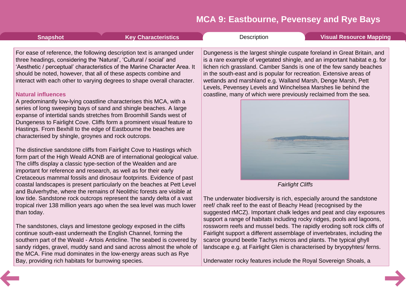<span id="page-3-0"></span>

| <b>Snapshot</b>                                                                   | <b>Key Characteristics</b>                                                                                                                                                                                                                                                                                                                                                                                                                                                                                                                                                                                                                                                                                                              | Description | <b>Visual Resource Mapping</b>                                                                                                                                                                                                                                                                                                                                                                                                                                                                          |
|-----------------------------------------------------------------------------------|-----------------------------------------------------------------------------------------------------------------------------------------------------------------------------------------------------------------------------------------------------------------------------------------------------------------------------------------------------------------------------------------------------------------------------------------------------------------------------------------------------------------------------------------------------------------------------------------------------------------------------------------------------------------------------------------------------------------------------------------|-------------|---------------------------------------------------------------------------------------------------------------------------------------------------------------------------------------------------------------------------------------------------------------------------------------------------------------------------------------------------------------------------------------------------------------------------------------------------------------------------------------------------------|
| <b>Natural influences</b><br>characterised by shingle, groynes and rock outcrops. | For ease of reference, the following description text is arranged under<br>three headings, considering the 'Natural', 'Cultural / social' and<br>'Aesthetic / perceptual' characteristics of the Marine Character Area. It<br>should be noted, however, that all of these aspects combine and<br>interact with each other to varying degrees to shape overall character.<br>A predominantly low-lying coastline characterises this MCA, with a<br>series of long sweeping bays of sand and shingle beaches. A large<br>expanse of intertidal sands stretches from Broomhill Sands west of<br>Dungeness to Fairlight Cove. Cliffs form a prominent visual feature to<br>Hastings. From Bexhill to the edge of Eastbourne the beaches are |             | Dungeness is the largest shingle cuspate foreland in Great Britain, and<br>is a rare example of vegetated shingle, and an important habitat e.g. for<br>lichen rich grassland. Camber Sands is one of the few sandy beaches<br>in the south-east and is popular for recreation. Extensive areas of<br>wetlands and marshland e.g. Walland Marsh, Denge Marsh, Pett<br>Levels, Pevensey Levels and Winchelsea Marshes lie behind the<br>coastline, many of which were previously reclaimed from the sea. |
|                                                                                   | The distinctive sandstone cliffs from Fairlight Cove to Hastings which<br>form part of the High Weald AONB are of international geological value.<br>The cliffs display a classic type-section of the Wealden and are<br>important for reference and research, as well as for their early<br>Cretaceous mammal fossils and dinosaur footprints. Evidence of past                                                                                                                                                                                                                                                                                                                                                                        |             |                                                                                                                                                                                                                                                                                                                                                                                                                                                                                                         |
|                                                                                   | coastal landscapes is present particularly on the beaches at Pett Level                                                                                                                                                                                                                                                                                                                                                                                                                                                                                                                                                                                                                                                                 |             | <b>Fairlight Cliffs</b>                                                                                                                                                                                                                                                                                                                                                                                                                                                                                 |
| than today.                                                                       | and Bulverhythe, where the remains of Neolithic forests are visible at<br>low tide. Sandstone rock outcrops represent the sandy delta of a vast<br>tropical river 138 million years ago when the sea level was much lower                                                                                                                                                                                                                                                                                                                                                                                                                                                                                                               |             | The underwater biodiversity is rich, especially around the sandstone<br>reef/ chalk reef to the east of Beachy Head (recognised by the<br>suggested rMCZ). Important chalk ledges and peat and clay exposures<br>support a range of habitats including rocky ridges, pools and lagoons,                                                                                                                                                                                                                 |
|                                                                                   | The sandstones, clays and limestone geology exposed in the cliffs<br>continue south-east underneath the English Channel, forming the<br>southern part of the Weald - Artois Anticline. The seabed is covered by                                                                                                                                                                                                                                                                                                                                                                                                                                                                                                                         |             | rossworm reefs and mussel beds. The rapidly eroding soft rock cliffs of<br>Fairlight support a different assemblage of invertebrates, including the<br>scarce ground beetle Tachys micros and plants. The typical ghyll                                                                                                                                                                                                                                                                                 |
|                                                                                   | sandy ridges, gravel, muddy sand and sand across almost the whole of<br>the MCA. Fine mud dominates in the low-energy areas such as Rye                                                                                                                                                                                                                                                                                                                                                                                                                                                                                                                                                                                                 |             | landscape e.g. at Fairlight Glen is characterised by bryopyhtes/ ferns.                                                                                                                                                                                                                                                                                                                                                                                                                                 |
| Bay, providing rich habitats for burrowing species.                               |                                                                                                                                                                                                                                                                                                                                                                                                                                                                                                                                                                                                                                                                                                                                         |             | Underwater rocky features include the Royal Sovereign Shoals, a                                                                                                                                                                                                                                                                                                                                                                                                                                         |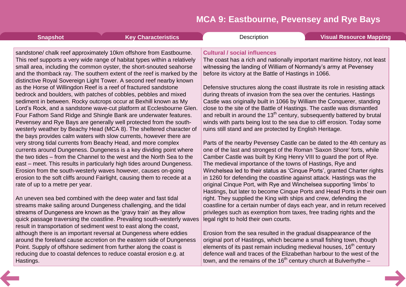| <b>Snapshot</b>                 | <b>Key Characteristics</b>                                                                                                                                                                                                                                                                                                                                                                                                                                                                                                                                                                                                                                                                                                                                                                                                                                                                                                                                                                                                                                                                                                                                                                                                                                                                                                                                                                  | Description                                                                                                                                                                                                                                                                                                                                                                                                                                                                                                                                                                                                                                                                                                                                                                                                                                                                                                                                                                                                                                                                                                                                                                                                                                                                                                                                                                          | <b>Visual Resource Mapping</b> |
|---------------------------------|---------------------------------------------------------------------------------------------------------------------------------------------------------------------------------------------------------------------------------------------------------------------------------------------------------------------------------------------------------------------------------------------------------------------------------------------------------------------------------------------------------------------------------------------------------------------------------------------------------------------------------------------------------------------------------------------------------------------------------------------------------------------------------------------------------------------------------------------------------------------------------------------------------------------------------------------------------------------------------------------------------------------------------------------------------------------------------------------------------------------------------------------------------------------------------------------------------------------------------------------------------------------------------------------------------------------------------------------------------------------------------------------|--------------------------------------------------------------------------------------------------------------------------------------------------------------------------------------------------------------------------------------------------------------------------------------------------------------------------------------------------------------------------------------------------------------------------------------------------------------------------------------------------------------------------------------------------------------------------------------------------------------------------------------------------------------------------------------------------------------------------------------------------------------------------------------------------------------------------------------------------------------------------------------------------------------------------------------------------------------------------------------------------------------------------------------------------------------------------------------------------------------------------------------------------------------------------------------------------------------------------------------------------------------------------------------------------------------------------------------------------------------------------------------|--------------------------------|
| rate of up to a metre per year. | sandstone/ chalk reef approximately 10km offshore from Eastbourne.<br>This reef supports a very wide range of habitat types within a relatively<br>small area, including the common oyster, the short-snouted seahorse<br>and the thomback ray. The southern extent of the reef is marked by the<br>distinctive Royal Sovereign Light Tower. A second reef nearby known<br>as the Horse of Willingdon Reef is a reef of fractured sandstone<br>bedrock and boulders, with patches of cobbles, pebbles and mixed<br>sediment in between. Rocky outcrops occur at Bexhill known as My<br>Lord's Rock, and a sandstone wave-cut platform at Ecclesbourne Glen.<br>Four Fathom Sand Ridge and Shingle Bank are underwater features.<br>Pevensey and Rye Bays are generally well protected from the south-<br>westerly weather by Beachy Head (MCA 8). The sheltered character of<br>the bays provides calm waters with slow currents, however there are<br>very strong tidal currents from Beachy Head, and more complex<br>currents around Dungeness. Dungeness is a key dividing point where<br>the two tides – from the Channel to the west and the North Sea to the<br>east – meet. This results in particularly high tides around Dungeness.<br>Erosion from the south-westerly waves however, causes on-going<br>erosion to the soft cliffs around Fairlight, causing them to recede at a | <b>Cultural / social influences</b><br>The coast has a rich and nationally important maritime history, not least<br>witnessing the landing of William of Normandy's army at Pevensey<br>before its victory at the Battle of Hastings in 1066.<br>Defensive structures along the coast illustrate its role in resisting attack<br>during threats of invasion from the sea over the centuries. Hastings<br>Castle was originally built in 1066 by William the Conquerer, standing<br>close to the site of the Battle of Hastings. The castle was dismantled<br>and rebuilt in around the 13 <sup>th</sup> century, subsequently battered by brutal<br>winds with parts being lost to the sea due to cliff erosion. Today some<br>ruins still stand and are protected by English Heritage.<br>Parts of the nearby Pevensey Castle can be dated to the 4th century as<br>one of the last and strongest of the Roman 'Saxon Shore' forts, while<br>Camber Castle was built by King Henry VIII to guard the port of Rye.<br>The medieval importance of the towns of Hastings, Rye and<br>Winchelsea led to their status as 'Cinque Ports', granted Charter rights<br>in 1260 for defending the coastline against attack. Hastings was the<br>original Cinque Port, with Rye and Winchelsea supporting 'limbs' to<br>Hastings, but later to become Cinque Ports and Head Ports in their own |                                |
|                                 | An uneven sea bed combined with the deep water and fast tidal<br>streams make sailing around Dungeness challenging, and the tidal<br>streams of Dungeness are known as the 'gravy train' as they allow<br>quick passage traversing the coastline. Prevailing south-westerly waves                                                                                                                                                                                                                                                                                                                                                                                                                                                                                                                                                                                                                                                                                                                                                                                                                                                                                                                                                                                                                                                                                                           | right. They supplied the King with ships and crew, defending the<br>coastline for a certain number of days each year, and in return received<br>privileges such as exemption from taxes, free trading rights and the<br>legal right to hold their own courts.                                                                                                                                                                                                                                                                                                                                                                                                                                                                                                                                                                                                                                                                                                                                                                                                                                                                                                                                                                                                                                                                                                                        |                                |
| Hastings.                       | result in transportation of sediment west to east along the coast,<br>although there is an important reversal at Dungeness where eddies<br>around the foreland cause accretion on the eastern side of Dungeness<br>Point. Supply of offshore sediment from further along the coast is<br>reducing due to coastal defences to reduce coastal erosion e.g. at                                                                                                                                                                                                                                                                                                                                                                                                                                                                                                                                                                                                                                                                                                                                                                                                                                                                                                                                                                                                                                 | Erosion from the sea resulted in the gradual disappearance of the<br>original port of Hastings, which became a small fishing town, though<br>elements of its past remain including medieval houses, 16 <sup>th</sup> century<br>defence wall and traces of the Elizabethan harbour to the west of the<br>town, and the remains of the 16 <sup>th</sup> century church at Bulverhythe $-$                                                                                                                                                                                                                                                                                                                                                                                                                                                                                                                                                                                                                                                                                                                                                                                                                                                                                                                                                                                             |                                |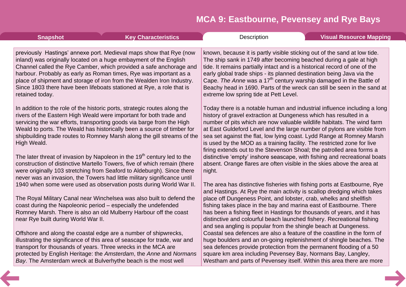| <b>Snapshot</b>                                               | <b>Key Characteristics</b>                                                                                                                                                                                                                                                                                                                                                                                                           | Description                                                                                                                                                                                                                                                                                                                                                                                                                                                                                                                     | <b>Visual Resource Mapping</b> |
|---------------------------------------------------------------|--------------------------------------------------------------------------------------------------------------------------------------------------------------------------------------------------------------------------------------------------------------------------------------------------------------------------------------------------------------------------------------------------------------------------------------|---------------------------------------------------------------------------------------------------------------------------------------------------------------------------------------------------------------------------------------------------------------------------------------------------------------------------------------------------------------------------------------------------------------------------------------------------------------------------------------------------------------------------------|--------------------------------|
|                                                               |                                                                                                                                                                                                                                                                                                                                                                                                                                      |                                                                                                                                                                                                                                                                                                                                                                                                                                                                                                                                 |                                |
| retained today.                                               | previously Hastings' annexe port. Medieval maps show that Rye (now<br>inland) was originally located on a huge embayment of the English<br>Channel called the Rye Camber, which provided a safe anchorage and<br>harbour. Probably as early as Roman times, Rye was important as a<br>place of shipment and storage of iron from the Wealden Iron Industry.<br>Since 1803 there have been lifeboats stationed at Rye, a role that is | known, because it is partly visible sticking out of the sand at low tide.<br>The ship sank in 1749 after becoming beached during a gale at high<br>tide. It remains partially intact and is a historical record of one of the<br>early global trade ships - its planned destination being Java via the<br>Cape. The Anne was a 17 <sup>th</sup> century warship damaged in the Battle of<br>Beachy head in 1690. Parts of the wreck can still be seen in the sand at<br>extreme low spring tide at Pett Level.                  |                                |
| High Weald.                                                   | In addition to the role of the historic ports, strategic routes along the<br>rivers of the Eastern High Weald were important for both trade and<br>servicing the war efforts, transporting goods via barge from the High<br>Weald to ports. The Weald has historically been a source of timber for<br>shipbuilding trade routes to Romney Marsh along the gill streams of the                                                        | Today there is a notable human and industrial influence including a long<br>history of gravel extraction at Dungeness which has resulted in a<br>number of pits which are now valuable wildlife habitats. The wind farm<br>at East Guldeford Level and the large number of pylons are visible from<br>sea set against the flat, low lying coast. Lydd Range at Romney Marsh<br>is used by the MOD as a training facility. The restricted zone for live<br>firing extends out to the Stevenson Shoal; the patrolled area forms a |                                |
|                                                               | The later threat of invasion by Napoleon in the $19th$ century led to the<br>construction of distinctive Martello Towers, five of which remain (there<br>were originally 103 stretching from Seaford to Aldeburgh). Since there<br>never was an invasion, the Towers had little military significance until                                                                                                                          | distinctive 'empty' inshore seascape, with fishing and recreational boats<br>absent. Orange flares are often visible in the skies above the area at<br>night.                                                                                                                                                                                                                                                                                                                                                                   |                                |
|                                                               | 1940 when some were used as observation posts during World War II.                                                                                                                                                                                                                                                                                                                                                                   | The area has distinctive fisheries with fishing ports at Eastbourne, Rye<br>and Hastings. At Rye the main activity is scallop dredging which takes                                                                                                                                                                                                                                                                                                                                                                              |                                |
| near Rye built during World War II.                           | The Royal Military Canal near Winchelsea was also built to defend the<br>coast during the Napoleonic period - especially the undefended<br>Romney Marsh. There is also an old Mulberry Harbour off the coast                                                                                                                                                                                                                         | place off Dungeness Point, and lobster, crab, whelks and shellfish<br>fishing takes place in the bay and marina east of Eastbourne. There<br>has been a fishing fleet in Hastings for thousands of years, and it has<br>distinctive and colourful beach launched fishery. Recreational fishing<br>and sea angling is popular from the shingle beach at Dungeness.                                                                                                                                                               |                                |
| transport for thousands of years. Three wrecks in the MCA are | Offshore and along the coastal edge are a number of shipwrecks,<br>illustrating the significance of this area of seascape for trade, war and<br>protected by English Heritage: the Amsterdam, the Anne and Normans<br>Bay. The Amsterdam wreck at Bulverhythe beach is the most well                                                                                                                                                 | Coastal sea defences are also a feature of the coastline in the form of<br>huge boulders and an on-going replenishment of shingle beaches. The<br>sea defences provide protection from the permanent flooding of a 50<br>square km area including Pevensey Bay, Normans Bay, Langley,<br>Westham and parts of Pevensey itself. Within this area there are more                                                                                                                                                                  |                                |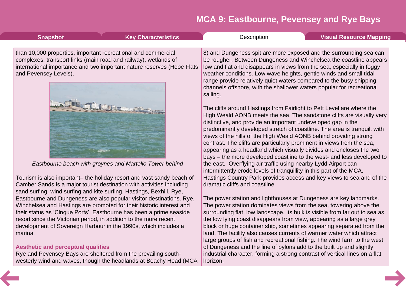| <b>Snapshot</b>                                                                        | <b>Key Characteristics</b>                                                                                                                                                                                             | Description                                                                                                                                                                                                                                                                                                                                                                                                                                   | <b>Visual Resource Mapping</b>                                                                                                                                                                                                                                                                                                                                                                                                                                                                                                                                                                    |
|----------------------------------------------------------------------------------------|------------------------------------------------------------------------------------------------------------------------------------------------------------------------------------------------------------------------|-----------------------------------------------------------------------------------------------------------------------------------------------------------------------------------------------------------------------------------------------------------------------------------------------------------------------------------------------------------------------------------------------------------------------------------------------|---------------------------------------------------------------------------------------------------------------------------------------------------------------------------------------------------------------------------------------------------------------------------------------------------------------------------------------------------------------------------------------------------------------------------------------------------------------------------------------------------------------------------------------------------------------------------------------------------|
| than 10,000 properties, important recreational and commercial<br>and Pevensey Levels). | complexes, transport links (main road and railway), wetlands of<br>international importance and two important nature reserves (Hooe Flats                                                                              | weather conditions. Low wave heights, gentle winds and small tidal<br>range provide relatively quiet waters compared to the busy shipping<br>sailing.<br>The cliffs around Hastings from Fairlight to Pett Level are where the<br>distinctive, and provide an important undeveloped gap in the<br>views of the hills of the High Weald AONB behind providing strong<br>contrast. The cliffs are particularly prominent in views from the sea, | 8) and Dungeness spit are more exposed and the surrounding sea can<br>be rougher. Between Dungeness and Winchelsea the coastline appears<br>low and flat and disappears in views from the sea, especially in foggy<br>channels offshore, with the shallower waters popular for recreational<br>High Weald AONB meets the sea. The sandstone cliffs are visually very<br>predominantly developed stretch of coastline. The area is tranquil, with<br>appearing as a headland which visually divides and encloses the two<br>bays – the more developed coastline to the west- and less developed to |
|                                                                                        | Eastbourne beach with groynes and Martello Tower behind                                                                                                                                                                | the east. Overflying air traffic using nearby Lydd Airport can<br>intermittently erode levels of tranquillity in this part of the MCA.                                                                                                                                                                                                                                                                                                        |                                                                                                                                                                                                                                                                                                                                                                                                                                                                                                                                                                                                   |
|                                                                                        | Tourism is also important– the holiday resort and vast sandy beach of<br>Camber Sands is a major tourist destination with activities including<br>sand surfing, wind surfing and kite surfing. Hastings, Bexhill, Rye, | dramatic cliffs and coastline.                                                                                                                                                                                                                                                                                                                                                                                                                | Hastings Country Park provides access and key views to sea and of the                                                                                                                                                                                                                                                                                                                                                                                                                                                                                                                             |
| resort since the Victorian period, in addition to the more recent                      | Eastbourne and Dungeness are also popular visitor destinations. Rye,<br>Winchelsea and Hastings are promoted for their historic interest and<br>their status as 'Cinque Ports'. Eastbourne has been a prime seaside    | the low lying coast disappears from view, appearing as a large grey                                                                                                                                                                                                                                                                                                                                                                           | The power station and lighthouses at Dungeness are key landmarks.<br>The power station dominates views from the sea, towering above the<br>surrounding flat, low landscape. Its bulk is visible from far out to sea as                                                                                                                                                                                                                                                                                                                                                                            |
| marina.                                                                                | development of Sovereign Harbour in the 1990s, which includes a                                                                                                                                                        | land. The facility also causes currents of warmer water which attract                                                                                                                                                                                                                                                                                                                                                                         | block or huge container ship, sometimes appearing separated from the<br>large groups of fish and recreational fishing. The wind farm to the west                                                                                                                                                                                                                                                                                                                                                                                                                                                  |
| <b>Aesthetic and perceptual qualities</b>                                              | Rye and Pevensey Bays are sheltered from the prevailing south-<br>westerly wind and waves, though the headlands at Beachy Head (MCA                                                                                    | of Dungeness and the line of pylons add to the built up and slightly<br>horizon.                                                                                                                                                                                                                                                                                                                                                              | industrial character, forming a strong contrast of vertical lines on a flat                                                                                                                                                                                                                                                                                                                                                                                                                                                                                                                       |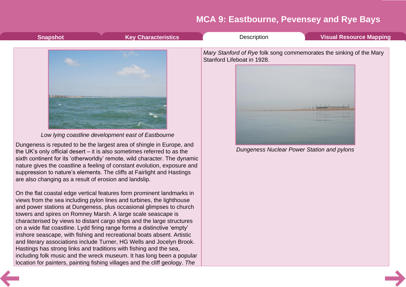<span id="page-7-0"></span>

| <b>Snapshot</b>                                                                                                                                                                                                                                                                                                                                                                                                                                                                                                                                                                   | <b>Key Characteristics</b>                                                                                                                                                                                                                                                                                                                                                                                                                                                                                                                                                                                                                                                                                                                        | Description                | <b>Visual Resource Mapping</b>                                                                                    |
|-----------------------------------------------------------------------------------------------------------------------------------------------------------------------------------------------------------------------------------------------------------------------------------------------------------------------------------------------------------------------------------------------------------------------------------------------------------------------------------------------------------------------------------------------------------------------------------|---------------------------------------------------------------------------------------------------------------------------------------------------------------------------------------------------------------------------------------------------------------------------------------------------------------------------------------------------------------------------------------------------------------------------------------------------------------------------------------------------------------------------------------------------------------------------------------------------------------------------------------------------------------------------------------------------------------------------------------------------|----------------------------|-------------------------------------------------------------------------------------------------------------------|
| the UK's only official desert $-$ it is also sometimes referred to as the<br>suppression to nature's elements. The cliffs at Fairlight and Hastings<br>are also changing as a result of erosion and landslip.<br>views from the sea including pylon lines and turbines, the lighthouse<br>towers and spires on Romney Marsh. A large scale seascape is<br>on a wide flat coastline. Lydd firing range forms a distinctive 'empty'<br>inshore seascape, with fishing and recreational boats absent. Artistic<br>Hastings has strong links and traditions with fishing and the sea, | Low lying coastline development east of Eastbourne<br>Dungeness is reputed to be the largest area of shingle in Europe, and<br>sixth continent for its 'otherworldly' remote, wild character. The dynamic<br>nature gives the coastline a feeling of constant evolution, exposure and<br>On the flat coastal edge vertical features form prominent landmarks in<br>and power stations at Dungeness, plus occasional glimpses to church<br>characterised by views to distant cargo ships and the large structures<br>and literary associations include Turner, HG Wells and Jocelyn Brook.<br>including folk music and the wreck museum. It has long been a popular<br>location for painters, painting fishing villages and the cliff geology. The | Stanford Lifeboat in 1928. | Mary Stanford of Rye folk song commemorates the sinking of the Mary<br>Dungeness Nuclear Power Station and pylons |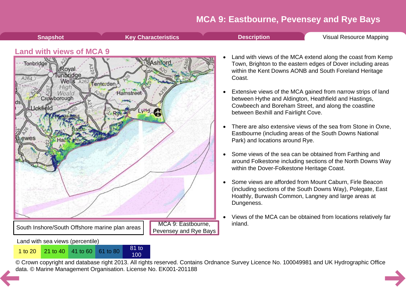<span id="page-8-0"></span>

- · Some views are afforded from Mount Caburn, Firle Beacon (including sections of the South Downs Way), Polegate, East Hoathly, Burwash Common, Langney and large areas at Dungeness.
- · Views of the MCA can be obtained from locations relatively far inland.

Land with sea views (percentile)

South Inshore/South Offshore marine plan areas

<sup>1</sup> to <sup>20</sup> <sup>21</sup> to <sup>40</sup> <sup>41</sup> to <sup>60</sup> <sup>61</sup> to <sup>80</sup> <sup>81</sup> to



© Crown copyright and database right 2013. All rights reserved. Contains Ordnance Survey Licence No. 100049981 and UK Hydrographic Office [da](#page-7-0)ta. © Marine Management Organisation. License No. EK001-201188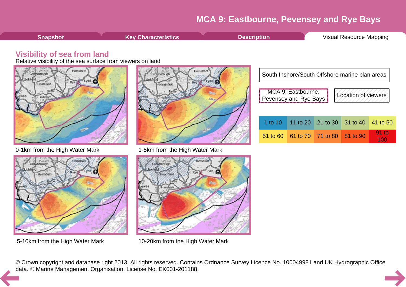100

<span id="page-9-0"></span>





5-10km from the High Water Mark 10-20km from the High Water Mark

© Crown copyright and database right 2013. All rights reserved. Contains Ordnance Survey Licence No. 100049981 and UK Hydrographic Office [da](#page-8-0)ta. © Marine Management Organisation. License No. EK001-201188.